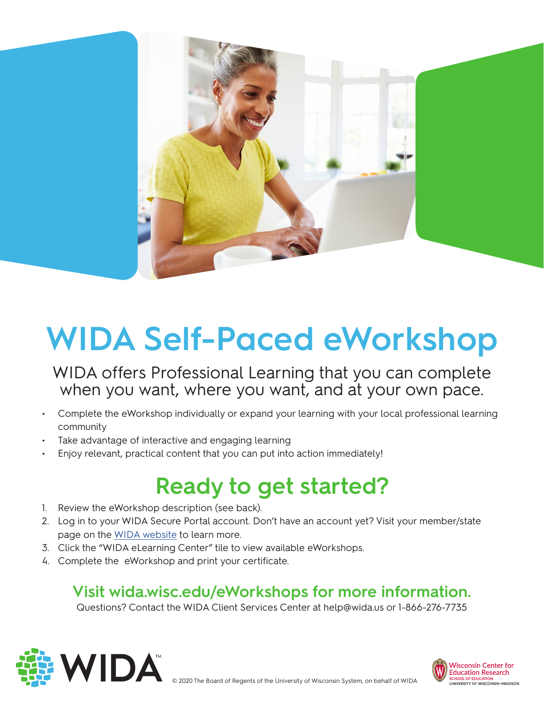

# **WIDA Self-Paced eWorkshop**

WIDA offers Professional Learning that you can complete when you want, where you want, and at your own pace.

- Complete the eWorkshop individually or expand your learning with your local professional learning community
- Take advantage of interactive and engaging learning
- Enjoy relevant, practical content that you can put into action immediately!

### **Ready to get started?**

- 1. Review the eWorkshop description (see back).
- 2. Log in to your WIDA Secure Portal account. Don't have an account yet? Visit your member/state page on the [WIDA website](http://wida.wisc.edu) to learn more.
- 3. Click the "WIDA eLearning Center" tile to view available eWorkshops.
- 4. Complete the eWorkshop and print your certificate.

#### **Visit wida.wisc.edu/eWorkshops for more information.**

Questions? Contact the WIDA Client Services Center at help@wida.us or 1-866-276-7735